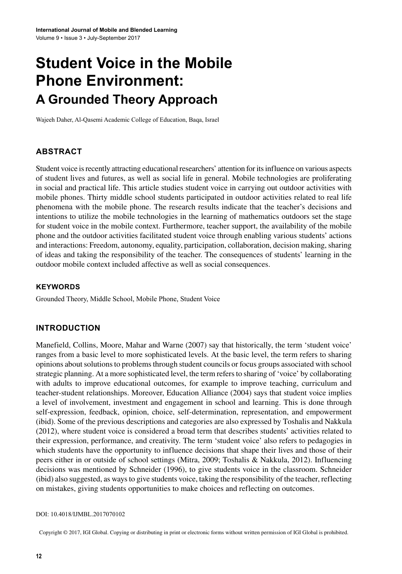# **Student Voice in the Mobile Phone Environment: A Grounded Theory Approach**

Wajeeh Daher, Al-Qasemi Academic College of Education, Baqa, Israel

# **ABSTRACT**

Student voice is recently attracting educational researchers' attention for its influence on various aspects of student lives and futures, as well as social life in general. Mobile technologies are proliferating in social and practical life. This article studies student voice in carrying out outdoor activities with mobile phones. Thirty middle school students participated in outdoor activities related to real life phenomena with the mobile phone. The research results indicate that the teacher's decisions and intentions to utilize the mobile technologies in the learning of mathematics outdoors set the stage for student voice in the mobile context. Furthermore, teacher support, the availability of the mobile phone and the outdoor activities facilitated student voice through enabling various students' actions and interactions: Freedom, autonomy, equality, participation, collaboration, decision making, sharing of ideas and taking the responsibility of the teacher. The consequences of students' learning in the outdoor mobile context included affective as well as social consequences.

#### **Keywords**

Grounded Theory, Middle School, Mobile Phone, Student Voice

#### **INTRODUCTION**

Manefield, Collins, Moore, Mahar and Warne (2007) say that historically, the term 'student voice' ranges from a basic level to more sophisticated levels. At the basic level, the term refers to sharing opinions aboutsolutionsto problemsthrough student councils or focus groups associated with school strategic planning. At a more sophisticated level, the term refersto sharing of 'voice' by collaborating with adults to improve educational outcomes, for example to improve teaching, curriculum and teacher-student relationships. Moreover, Education Alliance (2004) says that student voice implies a level of involvement, investment and engagement in school and learning. This is done through self-expression, feedback, opinion, choice, self-determination, representation, and empowerment (ibid). Some of the previous descriptions and categories are also expressed by Toshalis and Nakkula (2012), where student voice is considered a broad term that describes students' activities related to their expression, performance, and creativity. The term 'student voice' also refers to pedagogies in which students have the opportunity to influence decisions that shape their lives and those of their peers either in or outside of school settings (Mitra, 2009; Toshalis & Nakkula, 2012). Influencing decisions was mentioned by Schneider (1996), to give students voice in the classroom. Schneider (ibid) also suggested, as waysto give students voice, taking the responsibility of the teacher, reflecting on mistakes, giving students opportunities to make choices and reflecting on outcomes.

#### DOI: 10.4018/IJMBL.2017070102

Copyright © 2017, IGI Global. Copying or distributing in print or electronic forms without written permission of IGI Global is prohibited.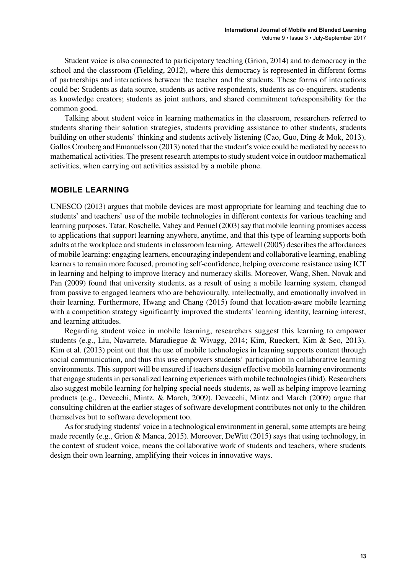Student voice is also connected to participatory teaching (Grion, 2014) and to democracy in the school and the classroom (Fielding, 2012), where this democracy is represented in different forms of partnerships and interactions between the teacher and the students. These forms of interactions could be: Students as data source, students as active respondents, students as co-enquirers, students as knowledge creators; students as joint authors, and shared commitment to/responsibility for the common good.

Talking about student voice in learning mathematics in the classroom, researchers referred to students sharing their solution strategies, students providing assistance to other students, students building on other students' thinking and students actively listening (Cao, Guo, Ding & Mok, 2013). Gallos Cronberg and Emanuelsson (2013) noted that the student's voice could be mediated by accessto mathematical activities. The present research attempts to study student voice in outdoor mathematical activities, when carrying out activities assisted by a mobile phone.

## **MOBILE LEARNING**

UNESCO (2013) argues that mobile devices are most appropriate for learning and teaching due to students' and teachers' use of the mobile technologies in different contexts for various teaching and learning purposes. Tatar, Roschelle, Vahey and Penuel (2003) say that mobile learning promises access to applications that support learning anywhere, anytime, and that this type of learning supports both adults at the workplace and students in classroom learning. Attewell (2005) describes the affordances of mobile learning: engaging learners, encouraging independent and collaborative learning, enabling learners to remain more focused, promoting self-confidence, helping overcome resistance using ICT in learning and helping to improve literacy and numeracy skills. Moreover, Wang, Shen, Novak and Pan (2009) found that university students, as a result of using a mobile learning system, changed from passive to engaged learners who are behaviourally, intellectually, and emotionally involved in their learning. Furthermore, Hwang and Chang (2015) found that location-aware mobile learning with a competition strategy significantly improved the students' learning identity, learning interest, and learning attitudes.

Regarding student voice in mobile learning, researchers suggest this learning to empower students (e.g., Liu, Navarrete, Maradiegue & Wivagg, 2014; Kim, Rueckert, Kim & Seo, 2013). Kim et al. (2013) point out that the use of mobile technologies in learning supports content through social communication, and thus this use empowers students' participation in collaborative learning environments. Thissupport will be ensured if teachers design effective mobile learning environments that engage studentsin personalized learning experiences with mobile technologies(ibid). Researchers also suggest mobile learning for helping special needs students, as well as helping improve learning products (e.g., Devecchi, Mintz, & March, 2009). Devecchi, Mintz and March (2009) argue that consulting children at the earlier stages of software development contributes not only to the children themselves but to software development too.

As for studying students' voice in a technological environment in general, some attempts are being made recently (e.g., Grion & Manca, 2015). Moreover, DeWitt (2015) says that using technology, in the context of student voice, means the collaborative work of students and teachers, where students design their own learning, amplifying their voices in innovative ways.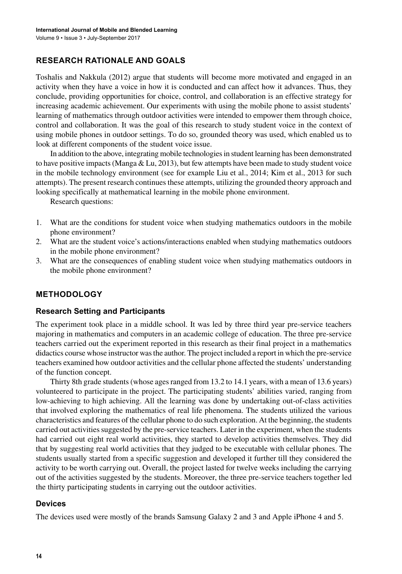# **RESEARCH RATIONALE AND GOALS**

Toshalis and Nakkula (2012) argue that students will become more motivated and engaged in an activity when they have a voice in how it is conducted and can affect how it advances. Thus, they conclude, providing opportunities for choice, control, and collaboration is an effective strategy for increasing academic achievement. Our experiments with using the mobile phone to assist students' learning of mathematics through outdoor activities were intended to empower them through choice, control and collaboration. It was the goal of this research to study student voice in the context of using mobile phones in outdoor settings. To do so, grounded theory was used, which enabled us to look at different components of the student voice issue.

In addition to the above, integrating mobile technologiesin student learning has been demonstrated to have positive impacts (Manga  $&$  Lu, 2013), but few attempts have been made to study student voice in the mobile technology environment (see for example Liu et al., 2014; Kim et al., 2013 for such attempts). The present research continues these attempts, utilizing the grounded theory approach and looking specifically at mathematical learning in the mobile phone environment.

Research questions:

- 1. What are the conditions for student voice when studying mathematics outdoors in the mobile phone environment?
- 2. What are the student voice's actions/interactions enabled when studying mathematics outdoors in the mobile phone environment?
- 3. What are the consequences of enabling student voice when studying mathematics outdoors in the mobile phone environment?

## **METHODOLOGY**

#### **Research Setting and Participants**

The experiment took place in a middle school. It was led by three third year pre-service teachers majoring in mathematics and computers in an academic college of education. The three pre-service teachers carried out the experiment reported in this research as their final project in a mathematics didactics course whose instructor wasthe author. The project included a report in which the pre-service teachers examined how outdoor activities and the cellular phone affected the students' understanding of the function concept.

Thirty 8th grade students (whose ages ranged from 13.2 to 14.1 years, with a mean of 13.6 years) volunteered to participate in the project. The participating students' abilities varied, ranging from low-achieving to high achieving. All the learning was done by undertaking out-of-class activities that involved exploring the mathematics of real life phenomena. The students utilized the various characteristics and features of the cellular phone to do such exploration. At the beginning, the students carried out activities suggested by the pre-service teachers. Later in the experiment, when the students had carried out eight real world activities, they started to develop activities themselves. They did that by suggesting real world activities that they judged to be executable with cellular phones. The students usually started from a specific suggestion and developed it further till they considered the activity to be worth carrying out. Overall, the project lasted for twelve weeks including the carrying out of the activities suggested by the students. Moreover, the three pre-service teachers together led the thirty participating students in carrying out the outdoor activities.

#### **Devices**

The devices used were mostly of the brands Samsung Galaxy 2 and 3 and Apple iPhone 4 and 5.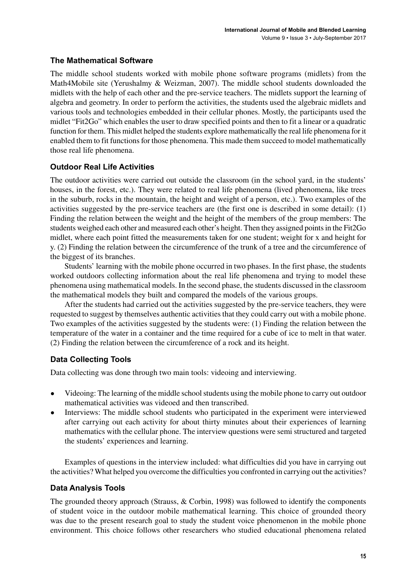## **The Mathematical Software**

The middle school students worked with mobile phone software programs (midlets) from the Math4Mobile site (Yerushalmy & Weizman, 2007). The middle school students downloaded the midlets with the help of each other and the pre-service teachers. The midlets support the learning of algebra and geometry. In order to perform the activities, the students used the algebraic midlets and various tools and technologies embedded in their cellular phones. Mostly, the participants used the midlet "Fit2Go" which enables the user to draw specified points and then to fit a linear or a quadratic function for them. This midlet helped the students explore mathematically the real life phenomena for it enabled them to fit functions for those phenomena. This made them succeed to model mathematically those real life phenomena.

#### **Outdoor Real Life Activities**

The outdoor activities were carried out outside the classroom (in the school yard, in the students' houses, in the forest, etc.). They were related to real life phenomena (lived phenomena, like trees in the suburb, rocks in the mountain, the height and weight of a person, etc.). Two examples of the activities suggested by the pre-service teachers are (the first one is described in some detail): (1) Finding the relation between the weight and the height of the members of the group members: The students weighed each other and measured each other's height. Then they assigned pointsin the Fit2Go midlet, where each point fitted the measurements taken for one student; weight for x and height for y. (2) Finding the relation between the circumference of the trunk of a tree and the circumference of the biggest of its branches.

Students' learning with the mobile phone occurred in two phases. In the first phase, the students worked outdoors collecting information about the real life phenomena and trying to model these phenomena using mathematical models. In the second phase, the students discussed in the classroom the mathematical models they built and compared the models of the various groups.

After the students had carried out the activities suggested by the pre-service teachers, they were requested to suggest by themselves authentic activitiesthat they could carry out with a mobile phone. Two examples of the activities suggested by the students were: (1) Finding the relation between the temperature of the water in a container and the time required for a cube of ice to melt in that water. (2) Finding the relation between the circumference of a rock and its height.

## **Data Collecting Tools**

Data collecting was done through two main tools: videoing and interviewing.

- Videoing: The learning of the middle school students using the mobile phone to carry out outdoor mathematical activities was videoed and then transcribed.
- Interviews: The middle school students who participated in the experiment were interviewed after carrying out each activity for about thirty minutes about their experiences of learning mathematics with the cellular phone. The interview questions were semi structured and targeted the students' experiences and learning.

Examples of questions in the interview included: what difficulties did you have in carrying out the activities? What helped you overcome the difficulties you confronted in carrying out the activities?

#### **Data Analysis Tools**

The grounded theory approach (Strauss, & Corbin, 1998) was followed to identify the components of student voice in the outdoor mobile mathematical learning. This choice of grounded theory was due to the present research goal to study the student voice phenomenon in the mobile phone environment. This choice follows other researchers who studied educational phenomena related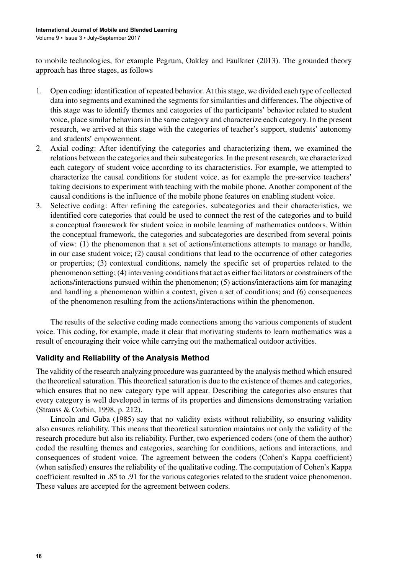to mobile technologies, for example Pegrum, Oakley and Faulkner (2013). The grounded theory approach has three stages, as follows

- 1. Open coding: identification of repeated behavior. At thisstage, we divided each type of collected data into segments and examined the segments for similarities and differences. The objective of this stage was to identify themes and categories of the participants' behavior related to student voice, place similar behaviorsin the same category and characterize each category. In the present research, we arrived at this stage with the categories of teacher's support, students' autonomy and students' empowerment.
- 2. Axial coding: After identifying the categories and characterizing them, we examined the relations between the categories and their subcategories. In the present research, we characterized each category of student voice according to its characteristics. For example, we attempted to characterize the causal conditions for student voice, as for example the pre-service teachers' taking decisions to experiment with teaching with the mobile phone. Another component of the causal conditions is the influence of the mobile phone features on enabling student voice.
- 3. Selective coding: After refining the categories, subcategories and their characteristics, we identified core categories that could be used to connect the rest of the categories and to build a conceptual framework for student voice in mobile learning of mathematics outdoors. Within the conceptual framework, the categories and subcategories are described from several points of view: (1) the phenomenon that a set of actions/interactions attempts to manage or handle, in our case student voice; (2) causal conditions that lead to the occurrence of other categories or properties; (3) contextual conditions, namely the specific set of properties related to the phenomenon setting; (4) intervening conditions that act as either facilitators or constrainers of the actions/interactions pursued within the phenomenon; (5) actions/interactions aim for managing and handling a phenomenon within a context, given a set of conditions; and (6) consequences of the phenomenon resulting from the actions/interactions within the phenomenon.

The results of the selective coding made connections among the various components of student voice. This coding, for example, made it clear that motivating students to learn mathematics was a result of encouraging their voice while carrying out the mathematical outdoor activities.

## **Validity and Reliability of the Analysis Method**

The validity of the research analyzing procedure was guaranteed by the analysis method which ensured the theoretical saturation. This theoretical saturation is due to the existence of themes and categories, which ensures that no new category type will appear. Describing the categories also ensures that every category is well developed in terms of its properties and dimensions demonstrating variation (Strauss & Corbin, 1998, p. 212).

Lincoln and Guba (1985) say that no validity exists without reliability, so ensuring validity also ensures reliability. This means that theoretical saturation maintains not only the validity of the research procedure but also its reliability. Further, two experienced coders (one of them the author) coded the resulting themes and categories, searching for conditions, actions and interactions, and consequences of student voice. The agreement between the coders (Cohen's Kappa coefficient) (when satisfied) ensures the reliability of the qualitative coding. The computation of Cohen's Kappa coefficient resulted in .85 to .91 for the various categories related to the student voice phenomenon. These values are accepted for the agreement between coders.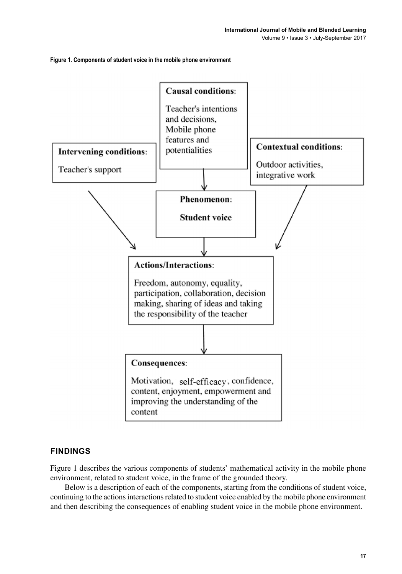#### **Figure 1. Components of student voice in the mobile phone environment**



## **FINDINGS**

Figure 1 describes the various components of students' mathematical activity in the mobile phone environment, related to student voice, in the frame of the grounded theory.

Below is a description of each of the components, starting from the conditions of student voice, continuing to the actions interactions related to student voice enabled by the mobile phone environment and then describing the consequences of enabling student voice in the mobile phone environment.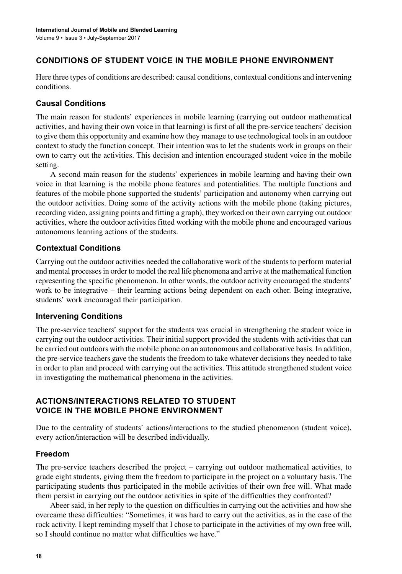# **CONDITIONS OF STUDENT VOICE IN THE MOBILE PHONE ENVIRONMENT**

Here three types of conditions are described: causal conditions, contextual conditions and intervening conditions.

#### **Causal Conditions**

The main reason for students' experiences in mobile learning (carrying out outdoor mathematical activities, and having their own voice in that learning) is first of all the pre-service teachers' decision to give them this opportunity and examine how they manage to use technological tools in an outdoor context to study the function concept. Their intention was to let the students work in groups on their own to carry out the activities. This decision and intention encouraged student voice in the mobile setting.

A second main reason for the students' experiences in mobile learning and having their own voice in that learning is the mobile phone features and potentialities. The multiple functions and features of the mobile phone supported the students' participation and autonomy when carrying out the outdoor activities. Doing some of the activity actions with the mobile phone (taking pictures, recording video, assigning points and fitting a graph), they worked on their own carrying out outdoor activities, where the outdoor activities fitted working with the mobile phone and encouraged various autonomous learning actions of the students.

#### **Contextual Conditions**

Carrying out the outdoor activities needed the collaborative work of the students to perform material and mental processesin order to model the real life phenomena and arrive at the mathematical function representing the specific phenomenon. In other words, the outdoor activity encouraged the students' work to be integrative – their learning actions being dependent on each other. Being integrative, students' work encouraged their participation.

#### **Intervening Conditions**

The pre-service teachers' support for the students was crucial in strengthening the student voice in carrying out the outdoor activities. Their initial support provided the students with activities that can be carried out outdoors with the mobile phone on an autonomous and collaborative basis. In addition, the pre-service teachers gave the students the freedom to take whatever decisions they needed to take in order to plan and proceed with carrying out the activities. This attitude strengthened student voice in investigating the mathematical phenomena in the activities.

## **ACTIONS/INTERACTIONS RELATED TO STUDENT VOICE IN THE MOBILE PHONE ENVIRONMENT**

Due to the centrality of students' actions/interactions to the studied phenomenon (student voice), every action/interaction will be described individually.

## **Freedom**

The pre-service teachers described the project – carrying out outdoor mathematical activities, to grade eight students, giving them the freedom to participate in the project on a voluntary basis. The participating students thus participated in the mobile activities of their own free will. What made them persist in carrying out the outdoor activities in spite of the difficulties they confronted?

Abeer said, in her reply to the question on difficulties in carrying out the activities and how she overcame these difficulties: "Sometimes, it was hard to carry out the activities, as in the case of the rock activity. I kept reminding myself that I chose to participate in the activities of my own free will, so I should continue no matter what difficulties we have."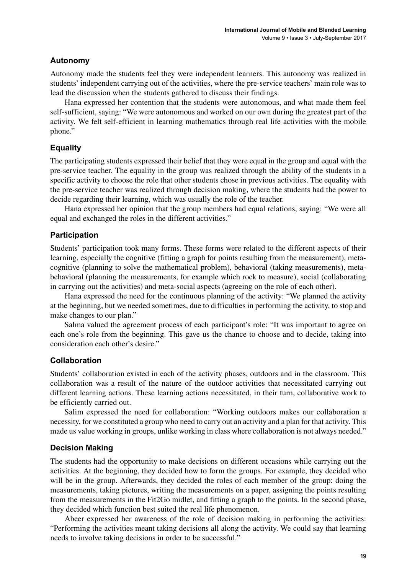#### **Autonomy**

Autonomy made the students feel they were independent learners. This autonomy was realized in students' independent carrying out of the activities, where the pre-service teachers' main role was to lead the discussion when the students gathered to discuss their findings.

Hana expressed her contention that the students were autonomous, and what made them feel self-sufficient, saying: "We were autonomous and worked on our own during the greatest part of the activity. We felt self-efficient in learning mathematics through real life activities with the mobile phone."

## **Equality**

The participating students expressed their belief that they were equal in the group and equal with the pre-service teacher. The equality in the group was realized through the ability of the students in a specific activity to choose the role that other students chose in previous activities. The equality with the pre-service teacher was realized through decision making, where the students had the power to decide regarding their learning, which was usually the role of the teacher.

Hana expressed her opinion that the group members had equal relations, saying: "We were all equal and exchanged the roles in the different activities."

## **Participation**

Students' participation took many forms. These forms were related to the different aspects of their learning, especially the cognitive (fitting a graph for points resulting from the measurement), metacognitive (planning to solve the mathematical problem), behavioral (taking measurements), metabehavioral (planning the measurements, for example which rock to measure), social (collaborating in carrying out the activities) and meta-social aspects (agreeing on the role of each other).

Hana expressed the need for the continuous planning of the activity: "We planned the activity at the beginning, but we needed sometimes, due to difficulties in performing the activity, to stop and make changes to our plan."

Salma valued the agreement process of each participant's role: "It was important to agree on each one's role from the beginning. This gave us the chance to choose and to decide, taking into consideration each other's desire."

## **Collaboration**

Students' collaboration existed in each of the activity phases, outdoors and in the classroom. This collaboration was a result of the nature of the outdoor activities that necessitated carrying out different learning actions. These learning actions necessitated, in their turn, collaborative work to be efficiently carried out.

Salim expressed the need for collaboration: "Working outdoors makes our collaboration a necessity, for we constituted a group who need to carry out an activity and a plan for that activity. This made us value working in groups, unlike working in class where collaboration is not always needed."

## **Decision Making**

The students had the opportunity to make decisions on different occasions while carrying out the activities. At the beginning, they decided how to form the groups. For example, they decided who will be in the group. Afterwards, they decided the roles of each member of the group: doing the measurements, taking pictures, writing the measurements on a paper, assigning the points resulting from the measurements in the Fit2Go midlet, and fitting a graph to the points. In the second phase, they decided which function best suited the real life phenomenon.

Abeer expressed her awareness of the role of decision making in performing the activities: "Performing the activities meant taking decisions all along the activity. We could say that learning needs to involve taking decisions in order to be successful."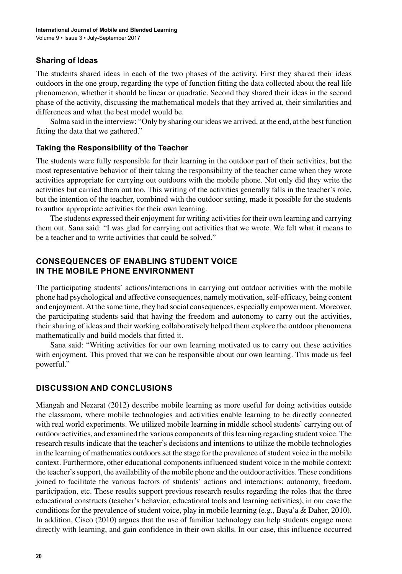## **Sharing of Ideas**

The students shared ideas in each of the two phases of the activity. First they shared their ideas outdoors in the one group, regarding the type of function fitting the data collected about the real life phenomenon, whether it should be linear or quadratic. Second they shared their ideas in the second phase of the activity, discussing the mathematical models that they arrived at, their similarities and differences and what the best model would be.

Salma said in the interview: "Only by sharing our ideas we arrived, at the end, at the best function fitting the data that we gathered."

#### **Taking the Responsibility of the Teacher**

The students were fully responsible for their learning in the outdoor part of their activities, but the most representative behavior of their taking the responsibility of the teacher came when they wrote activities appropriate for carrying out outdoors with the mobile phone. Not only did they write the activities but carried them out too. This writing of the activities generally falls in the teacher's role, but the intention of the teacher, combined with the outdoor setting, made it possible for the students to author appropriate activities for their own learning.

The students expressed their enjoyment for writing activities for their own learning and carrying them out. Sana said: "I was glad for carrying out activities that we wrote. We felt what it means to be a teacher and to write activities that could be solved."

#### **CONSEQUENCES OF ENABLING STUDENT VOICE IN THE MOBILE PHONE ENVIRONMENT**

The participating students' actions/interactions in carrying out outdoor activities with the mobile phone had psychological and affective consequences, namely motivation, self-efficacy, being content and enjoyment. At the same time, they had social consequences, especially empowerment. Moreover, the participating students said that having the freedom and autonomy to carry out the activities, their sharing of ideas and their working collaboratively helped them explore the outdoor phenomena mathematically and build models that fitted it.

Sana said: "Writing activities for our own learning motivated us to carry out these activities with enjoyment. This proved that we can be responsible about our own learning. This made us feel powerful."

#### **DISCUSSION AND CONCLUSIONS**

Miangah and Nezarat (2012) describe mobile learning as more useful for doing activities outside the classroom, where mobile technologies and activities enable learning to be directly connected with real world experiments. We utilized mobile learning in middle school students' carrying out of outdoor activities, and examined the various components of thislearning regarding student voice. The research results indicate that the teacher's decisions and intentions to utilize the mobile technologies in the learning of mathematics outdoors set the stage for the prevalence of student voice in the mobile context. Furthermore, other educational components influenced student voice in the mobile context: the teacher'ssupport, the availability of the mobile phone and the outdoor activities. These conditions joined to facilitate the various factors of students' actions and interactions: autonomy, freedom, participation, etc. These results support previous research results regarding the roles that the three educational constructs (teacher's behavior, educational tools and learning activities), in our case the conditions for the prevalence of student voice, play in mobile learning (e.g., Baya'a & Daher, 2010). In addition, Cisco (2010) argues that the use of familiar technology can help students engage more directly with learning, and gain confidence in their own skills. In our case, this influence occurred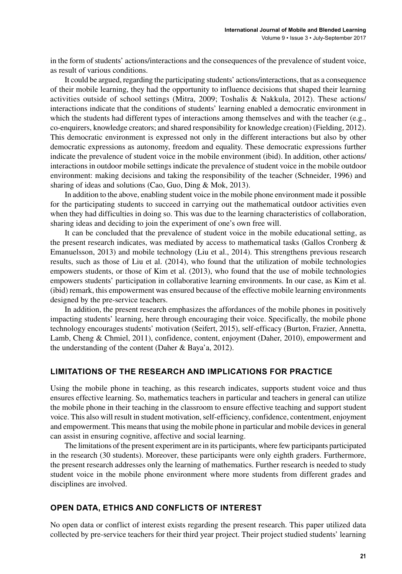in the form of students' actions/interactions and the consequences of the prevalence of student voice, as result of various conditions.

It could be argued, regarding the participating students' actions/interactions, that as a consequence of their mobile learning, they had the opportunity to influence decisions that shaped their learning activities outside of school settings (Mitra, 2009; Toshalis & Nakkula, 2012). These actions/ interactions indicate that the conditions of students' learning enabled a democratic environment in which the students had different types of interactions among themselves and with the teacher (e.g., co-enquirers, knowledge creators; and shared responsibility for knowledge creation) (Fielding, 2012). This democratic environment is expressed not only in the different interactions but also by other democratic expressions as autonomy, freedom and equality. These democratic expressions further indicate the prevalence of student voice in the mobile environment (ibid). In addition, other actions/ interactions in outdoor mobile settings indicate the prevalence of student voice in the mobile outdoor environment: making decisions and taking the responsibility of the teacher (Schneider, 1996) and sharing of ideas and solutions (Cao, Guo, Ding & Mok, 2013).

In addition to the above, enabling student voice in the mobile phone environment made it possible for the participating students to succeed in carrying out the mathematical outdoor activities even when they had difficulties in doing so. This was due to the learning characteristics of collaboration, sharing ideas and deciding to join the experiment of one's own free will.

It can be concluded that the prevalence of student voice in the mobile educational setting, as the present research indicates, was mediated by access to mathematical tasks (Gallos Cronberg & Emanuelsson, 2013) and mobile technology (Liu et al., 2014). This strengthens previous research results, such as those of Liu et al. (2014), who found that the utilization of mobile technologies empowers students, or those of Kim et al. (2013), who found that the use of mobile technologies empowers students' participation in collaborative learning environments. In our case, as Kim et al. (ibid) remark, this empowerment was ensured because of the effective mobile learning environments designed by the pre-service teachers.

In addition, the present research emphasizes the affordances of the mobile phones in positively impacting students' learning, here through encouraging their voice. Specifically, the mobile phone technology encourages students' motivation (Seifert, 2015), self-efficacy (Burton, Frazier, Annetta, Lamb, Cheng & Chmiel, 2011), confidence, content, enjoyment (Daher, 2010), empowerment and the understanding of the content (Daher & Baya'a, 2012).

#### **LIMITATIONS OF THE RESEARCH AND IMPLICATIONS FOR PRACTICE**

Using the mobile phone in teaching, as this research indicates, supports student voice and thus ensures effective learning. So, mathematics teachers in particular and teachers in general can utilize the mobile phone in their teaching in the classroom to ensure effective teaching and support student voice. This also will result in student motivation,self-efficiency, confidence, contentment, enjoyment and empowerment. This meansthat using the mobile phone in particular and mobile devicesin general can assist in ensuring cognitive, affective and social learning.

The limitations ofthe present experiment are in its participants, where few participants participated in the research (30 students). Moreover, these participants were only eighth graders. Furthermore, the present research addresses only the learning of mathematics. Further research is needed to study student voice in the mobile phone environment where more students from different grades and disciplines are involved.

#### **OPEN DATA, ETHICS AND CONFLICTS OF INTEREST**

No open data or conflict of interest exists regarding the present research. This paper utilized data collected by pre-service teachers for their third year project. Their project studied students' learning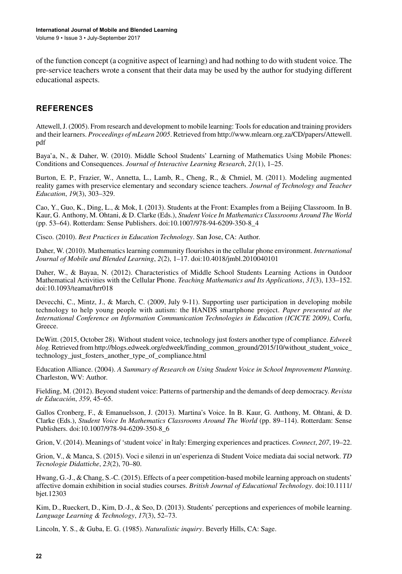of the function concept (a cognitive aspect of learning) and had nothing to do with student voice. The pre-service teachers wrote a consent that their data may be used by the author for studying different educational aspects.

# **REFERENCES**

Attewell,J. (2005). From research and development to mobile learning: Toolsfor education and training providers and their learners. *Proceedings of mLearn 2005*. Retrieved from [http://www.mlearn.org.za/CD/papers/Attewell.](http://www.mlearn.org.za/CD/papers/Attewell.pdf) [pdf](http://www.mlearn.org.za/CD/papers/Attewell.pdf)

Baya'a, N., & Daher, W. (2010). Middle School Students' Learning of Mathematics Using Mobile Phones: Conditions and Consequences. *Journal of Interactive Learning Research*, *21*(1), 1–25.

Burton, E. P., Frazier, W., Annetta, L., Lamb, R., Cheng, R., & Chmiel, M. (2011). Modeling augmented reality games with preservice elementary and secondary science teachers. *Journal of Technology and Teacher Education*, *19*(3), 303–329.

Cao, Y., Guo, K., Ding, L., & Mok, I. (2013). Students at the Front: Examples from a Beijing Classroom. In B. Kaur, G. Anthony, M. Ohtani, & D. Clarke (Eds.), *Student Voice In Mathematics Classrooms Around The World* (pp. 53–64). Rotterdam: Sense Publishers. doi[:10.1007/978-94-6209-350-8\\_4](http://dx.doi.org/10.1007/978-94-6209-350-8_4)

Cisco. (2010). *Best Practices in Education Technology*. San Jose, CA: Author.

Daher, W. (2010). Mathematics learning community flourishes in the cellular phone environment. *International Journal of Mobile and Blended Learning*, *2*(2), 1–17. doi:[10.4018/jmbl.2010040101](http://dx.doi.org/10.4018/jmbl.2010040101)

Daher, W., & Bayaa, N. (2012). Characteristics of Middle School Students Learning Actions in Outdoor Mathematical Activities with the Cellular Phone. *Teaching Mathematics and Its Applications*, *31*(3), 133–152. doi[:10.1093/teamat/hrr018](http://dx.doi.org/10.1093/teamat/hrr018)

Devecchi, C., Mintz, J., & March, C. (2009, July 9-11). Supporting user participation in developing mobile technology to help young people with autism: the HANDS smartphone project. *Paper presented at the International Conference on Information Communication Technologies in Education (ICICTE 2009)*, Corfu, Greece.

DeWitt. (2015, October 28). Without student voice, technology just fosters another type of compliance. *Edweek blog.* Retrieved from [http://blogs.edweek.org/edweek/finding\\_common\\_ground/2015/10/without\\_student\\_voice\\_](http://blogs.edweek.org/edweek/finding_common_ground/2015/10/without_student_voice_technology_just_fosters_another_type_of_compliance.html) [technology\\_just\\_fosters\\_another\\_type\\_of\\_compliance.html](http://blogs.edweek.org/edweek/finding_common_ground/2015/10/without_student_voice_technology_just_fosters_another_type_of_compliance.html)

Education Alliance. (2004). *A Summary of Research on Using Student Voice in School Improvement Planning*. Charleston, WV: Author.

Fielding, M. (2012). Beyond student voice: Patterns of partnership and the demands of deep democracy. *Revista de Educación*, *359*, 45–65.

Gallos Cronberg, F., & Emanuelsson, J. (2013). Martina's Voice. In B. Kaur, G. Anthony, M. Ohtani, & D. Clarke (Eds.), *Student Voice In Mathematics Classrooms Around The World* (pp. 89–114). Rotterdam: Sense Publishers. doi[:10.1007/978-94-6209-350-8\\_6](http://dx.doi.org/10.1007/978-94-6209-350-8_6)

Grion, V. (2014). Meanings of 'student voice' in Italy: Emerging experiences and practices. *Connect*, *207*, 19–22.

Grion, V., & Manca, S. (2015). Voci e silenzi in un'esperienza di Student Voice mediata dai social network. *TD Tecnologie Didattiche*, *23*(2), 70–80.

Hwang, G.-J., & Chang, S.-C. (2015). Effects of a peer competition-based mobile learning approach on students' affective domain exhibition in social studies courses. *British Journal of Educational Technology*. doi[:10.1111/](http://dx.doi.org/10.1111/bjet.12303) [bjet.12303](http://dx.doi.org/10.1111/bjet.12303)

Kim, D., Rueckert, D., Kim, D.-J., & Seo, D. (2013). Students' perceptions and experiences of mobile learning. *Language Learning & Technology*, *17*(3), 52–73.

Lincoln, Y. S., & Guba, E. G. (1985). *Naturalistic inquiry*. Beverly Hills, CA: Sage.